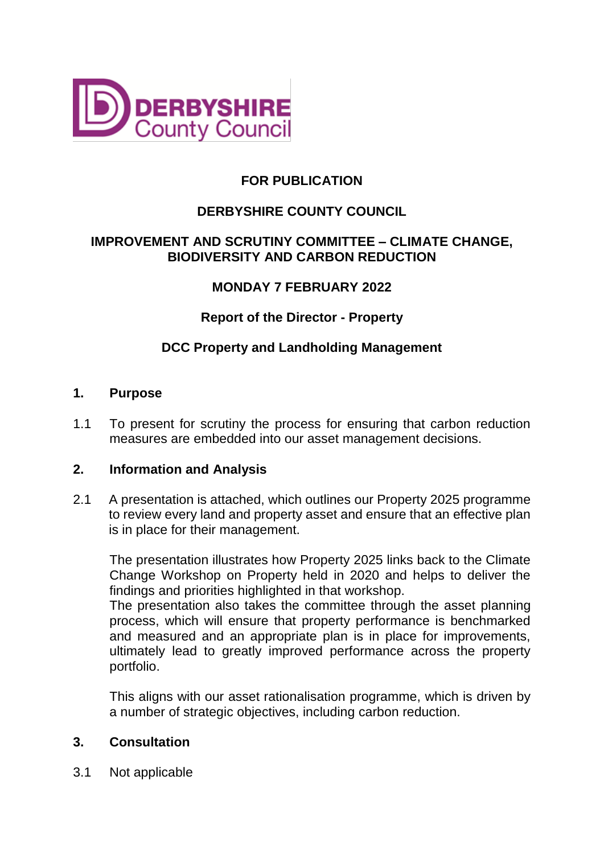

# **FOR PUBLICATION**

# **DERBYSHIRE COUNTY COUNCIL**

## **IMPROVEMENT AND SCRUTINY COMMITTEE – CLIMATE CHANGE, BIODIVERSITY AND CARBON REDUCTION**

## **MONDAY 7 FEBRUARY 2022**

**Report of the Director - Property**

### **DCC Property and Landholding Management**

#### **1. Purpose**

1.1 To present for scrutiny the process for ensuring that carbon reduction measures are embedded into our asset management decisions.

### **2. Information and Analysis**

2.1 A presentation is attached, which outlines our Property 2025 programme to review every land and property asset and ensure that an effective plan is in place for their management.

The presentation illustrates how Property 2025 links back to the Climate Change Workshop on Property held in 2020 and helps to deliver the findings and priorities highlighted in that workshop.

The presentation also takes the committee through the asset planning process, which will ensure that property performance is benchmarked and measured and an appropriate plan is in place for improvements, ultimately lead to greatly improved performance across the property portfolio.

This aligns with our asset rationalisation programme, which is driven by a number of strategic objectives, including carbon reduction.

### **3. Consultation**

3.1 Not applicable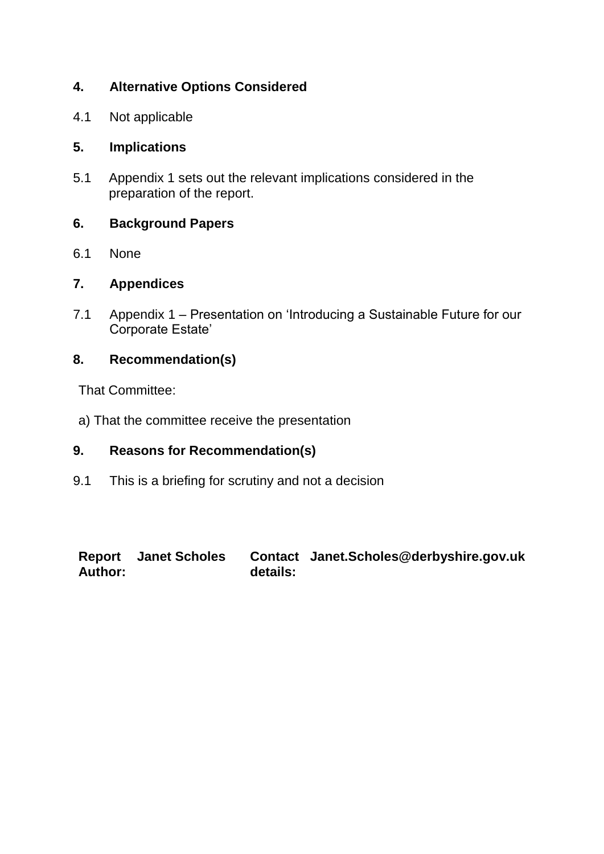# **4. Alternative Options Considered**

4.1 Not applicable

## **5. Implications**

5.1 Appendix 1 sets out the relevant implications considered in the preparation of the report.

## **6. Background Papers**

6.1 None

### **7. Appendices**

7.1 Appendix 1 – Presentation on 'Introducing a Sustainable Future for our Corporate Estate'

## **8. Recommendation(s)**

That Committee:

a) That the committee receive the presentation

### **9. Reasons for Recommendation(s)**

9.1 This is a briefing for scrutiny and not a decision

**Report Janet Scholes Contact Author: details: Janet.Scholes@derbyshire.gov.uk**